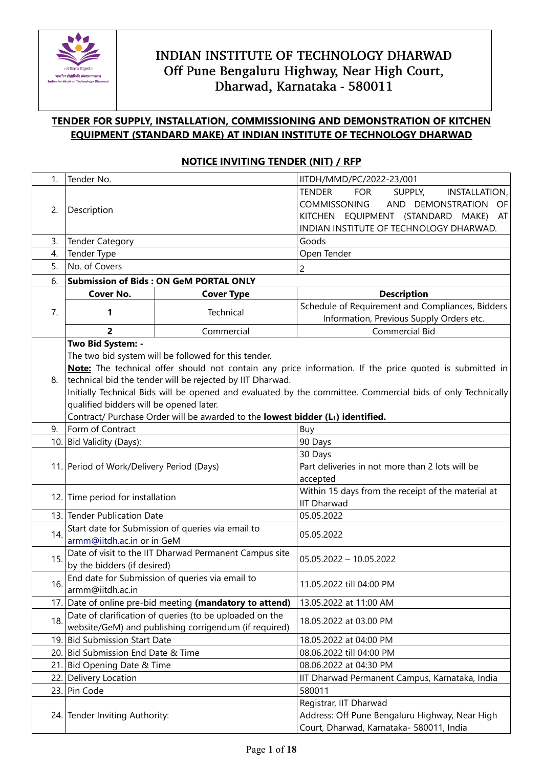

### **TENDER FOR SUPPLY, INSTALLATION, COMMISSIONING AND DEMONSTRATION OF KITCHEN EQUIPMENT (STANDARD MAKE) AT INDIAN INSTITUTE OF TECHNOLOGY DHARWAD**

### 1. Tender No. IITDH/MMD/PC/2022-23/001 2. Description TENDER FOR SUPPLY, INSTALLATION, COMMISSONING AND DEMONSTRATION OF KITCHEN EQUIPMENT (STANDARD MAKE) AT INDIAN INSTITUTE OF TECHNOLOGY DHARWAD. 3. Tender Category Goods Goods 4. Tender Type **Open Tender** Open Tender 5. No. of Covers 2 6. **Submission of Bids : ON GeM PORTAL ONLY** 7. **Cover No. Cover Type Type Reserve Type Reserves Type Reserves A Description 1 1 1 1 Technical Schedule of Requirement and Compliances, Bidders** Information, Previous Supply Orders etc. **2** Commercial Commercial Commercial Bid 8. **Two Bid System: -** The two bid system will be followed for this tender. **Note:** The technical offer should not contain any price information. If the price quoted is submitted in technical bid the tender will be rejected by IIT Dharwad. Initially Technical Bids will be opened and evaluated by the committee. Commercial bids of only Technically qualified bidders will be opened later. Contract/ Purchase Order will be awarded to the **lowest bidder (L1) identified.** 30 Days

### **NOTICE INVITING TENDER (NIT) / RFP**

|     | qualified biddels will be operled fatel.                                                    |                                                    |  |
|-----|---------------------------------------------------------------------------------------------|----------------------------------------------------|--|
|     | Contract/ Purchase Order will be awarded to the lowest bidder (L <sub>1</sub> ) identified. |                                                    |  |
| 9.  | Form of Contract                                                                            | Buy                                                |  |
|     | 10. Bid Validity (Days):                                                                    | 90 Days                                            |  |
|     |                                                                                             | 30 Days                                            |  |
|     | 11. Period of Work/Delivery Period (Days)                                                   | Part deliveries in not more than 2 lots will be    |  |
|     |                                                                                             | accepted                                           |  |
|     | 12. Time period for installation                                                            | Within 15 days from the receipt of the material at |  |
|     |                                                                                             | <b>IIT Dharwad</b>                                 |  |
|     | 13. Tender Publication Date                                                                 | 05.05.2022                                         |  |
| 14. | Start date for Submission of queries via email to                                           | 05.05.2022                                         |  |
|     | armm@iitdh.ac.in or in GeM                                                                  |                                                    |  |
| 15. | Date of visit to the IIT Dharwad Permanent Campus site                                      | $05.05.2022 - 10.05.2022$                          |  |
|     | by the bidders (if desired)                                                                 |                                                    |  |
| 16. | End date for Submission of queries via email to                                             | 11.05.2022 till 04:00 PM                           |  |
|     | armm@iitdh.ac.in                                                                            |                                                    |  |
|     | 17. Date of online pre-bid meeting (mandatory to attend)                                    | 13.05.2022 at 11:00 AM                             |  |
| 18. | Date of clarification of queries (to be uploaded on the                                     | 18.05.2022 at 03.00 PM                             |  |
|     | website/GeM) and publishing corrigendum (if required)                                       |                                                    |  |
|     | 19. Bid Submission Start Date                                                               | 18.05.2022 at 04:00 PM                             |  |
|     | 20. Bid Submission End Date & Time                                                          | 08.06.2022 till 04:00 PM                           |  |
|     | 21. Bid Opening Date & Time                                                                 | 08.06.2022 at 04:30 PM                             |  |
|     | 22. Delivery Location                                                                       | IIT Dharwad Permanent Campus, Karnataka, India     |  |
|     | 23. Pin Code                                                                                | 580011                                             |  |
|     |                                                                                             | Registrar, IIT Dharwad                             |  |
|     | 24. Tender Inviting Authority:                                                              | Address: Off Pune Bengaluru Highway, Near High     |  |
|     |                                                                                             | Court, Dharwad, Karnataka- 580011, India           |  |
|     |                                                                                             |                                                    |  |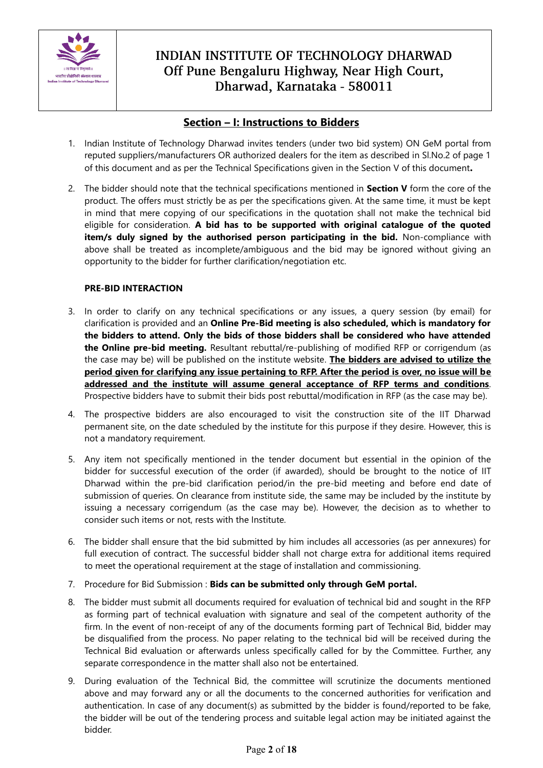

### **Section – I: Instructions to Bidders**

- 1. Indian Institute of Technology Dharwad invites tenders (under two bid system) ON GeM portal from reputed suppliers/manufacturers OR authorized dealers for the item as described in Sl.No.2 of page 1 of this document and as per the Technical Specifications given in the Section V of this document**.**
- 2. The bidder should note that the technical specifications mentioned in **Section V** form the core of the product. The offers must strictly be as per the specifications given. At the same time, it must be kept in mind that mere copying of our specifications in the quotation shall not make the technical bid eligible for consideration. **A bid has to be supported with original catalogue of the quoted item/s duly signed by the authorised person participating in the bid.** Non-compliance with above shall be treated as incomplete/ambiguous and the bid may be ignored without giving an opportunity to the bidder for further clarification/negotiation etc.

### **PRE-BID INTERACTION**

- 3. In order to clarify on any technical specifications or any issues, a query session (by email) for clarification is provided and an **Online Pre-Bid meeting is also scheduled, which is mandatory for the bidders to attend. Only the bids of those bidders shall be considered who have attended the Online pre-bid meeting.** Resultant rebuttal/re-publishing of modified RFP or corrigendum (as the case may be) will be published on the institute website. **The bidders are advised to utilize the period given for clarifying any issue pertaining to RFP. After the period is over, no issue will be addressed and the institute will assume general acceptance of RFP terms and conditions**. Prospective bidders have to submit their bids post rebuttal/modification in RFP (as the case may be).
- 4. The prospective bidders are also encouraged to visit the construction site of the IIT Dharwad permanent site, on the date scheduled by the institute for this purpose if they desire. However, this is not a mandatory requirement.
- 5. Any item not specifically mentioned in the tender document but essential in the opinion of the bidder for successful execution of the order (if awarded), should be brought to the notice of IIT Dharwad within the pre-bid clarification period/in the pre-bid meeting and before end date of submission of queries. On clearance from institute side, the same may be included by the institute by issuing a necessary corrigendum (as the case may be). However, the decision as to whether to consider such items or not, rests with the Institute.
- 6. The bidder shall ensure that the bid submitted by him includes all accessories (as per annexures) for full execution of contract. The successful bidder shall not charge extra for additional items required to meet the operational requirement at the stage of installation and commissioning.
- 7. Procedure for Bid Submission : **Bids can be submitted only through GeM portal.**
- 8. The bidder must submit all documents required for evaluation of technical bid and sought in the RFP as forming part of technical evaluation with signature and seal of the competent authority of the firm. In the event of non-receipt of any of the documents forming part of Technical Bid, bidder may be disqualified from the process. No paper relating to the technical bid will be received during the Technical Bid evaluation or afterwards unless specifically called for by the Committee. Further, any separate correspondence in the matter shall also not be entertained.
- 9. During evaluation of the Technical Bid, the committee will scrutinize the documents mentioned above and may forward any or all the documents to the concerned authorities for verification and authentication. In case of any document(s) as submitted by the bidder is found/reported to be fake, the bidder will be out of the tendering process and suitable legal action may be initiated against the bidder.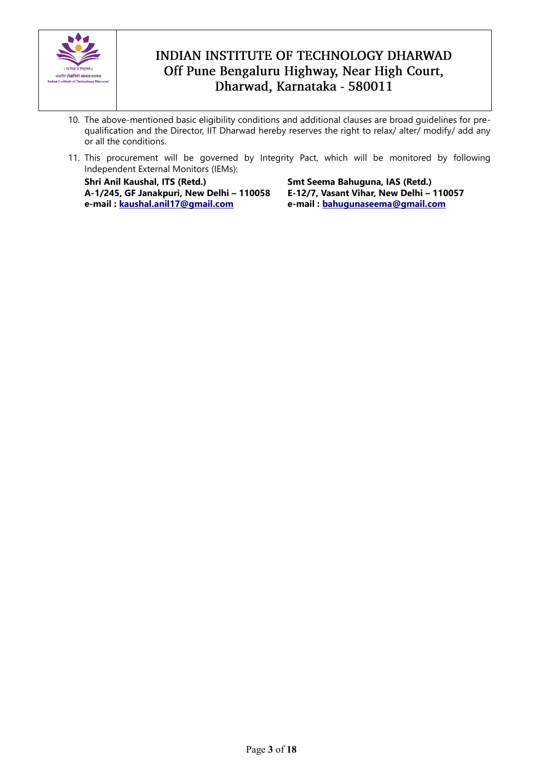

- 10. The above-mentioned basic eligibility conditions and additional clauses are broad guidelines for prequalification and the Director, IIT Dharwad hereby reserves the right to relax/ alter/ modify/ add any or all the conditions.
- 11. This procurement will be governed by Integrity Pact, which will be monitored by following Independent External Monitors (IEMs):

**Shri Anil Kaushal, ITS (Retd.) A-1/245, GF Janakpuri, New Delhi – 110058 e-mail : [kaushal.anil17@gmail.com](mailto:kaushal.anil17@gmail.com)**

**Smt Seema Bahuguna, IAS (Retd.) E-12/7, Vasant Vihar, New Delhi – 110057 e-mail : [bahugunaseema@gmail.com](mailto:bahugunaseema@gmail.com)**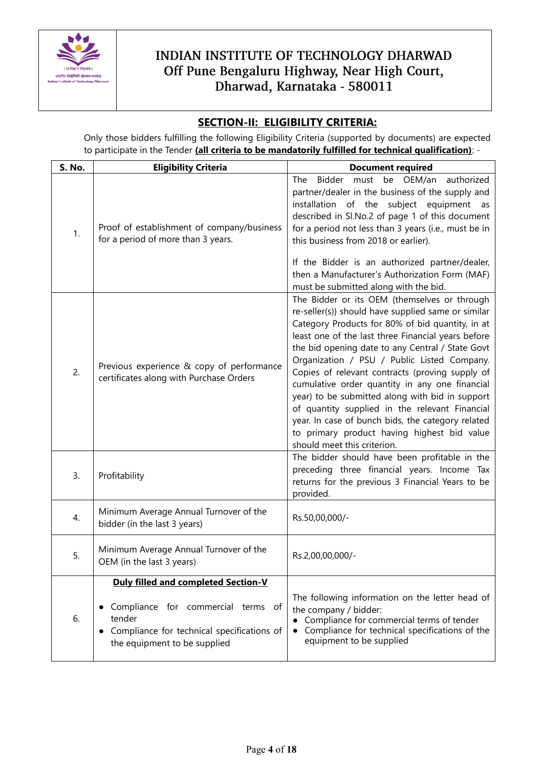

### **SECTION-II: ELIGIBILITY CRITERIA:**

Only those bidders fulfilling the following Eligibility Criteria (supported by documents) are expected to participate in the Tender **(all criteria to be mandatorily fulfilled for technical qualification)**: -

| S. No. | <b>Eligibility Criteria</b>                                                                                                                                                                | <b>Document required</b>                                                                                                                                                                                                                                                                                                                                                                                                                                                                                                                                                                                                                                     |  |
|--------|--------------------------------------------------------------------------------------------------------------------------------------------------------------------------------------------|--------------------------------------------------------------------------------------------------------------------------------------------------------------------------------------------------------------------------------------------------------------------------------------------------------------------------------------------------------------------------------------------------------------------------------------------------------------------------------------------------------------------------------------------------------------------------------------------------------------------------------------------------------------|--|
| 1.     | Proof of establishment of company/business<br>for a period of more than 3 years.                                                                                                           | be OEM/an<br>authorized<br>The<br>Bidder<br>must<br>partner/dealer in the business of the supply and<br>installation of the subject equipment<br>as<br>described in Sl.No.2 of page 1 of this document<br>for a period not less than 3 years (i.e., must be in<br>this business from 2018 or earlier).<br>If the Bidder is an authorized partner/dealer,<br>then a Manufacturer's Authorization Form (MAF)<br>must be submitted along with the bid.                                                                                                                                                                                                          |  |
| 2.     | Previous experience & copy of performance<br>certificates along with Purchase Orders                                                                                                       | The Bidder or its OEM {themselves or through<br>re-seller(s)} should have supplied same or similar<br>Category Products for 80% of bid quantity, in at<br>least one of the last three Financial years before<br>the bid opening date to any Central / State Govt<br>Organization / PSU / Public Listed Company.<br>Copies of relevant contracts (proving supply of<br>cumulative order quantity in any one financial<br>year) to be submitted along with bid in support<br>of quantity supplied in the relevant Financial<br>year. In case of bunch bids, the category related<br>to primary product having highest bid value<br>should meet this criterion. |  |
| 3.     | Profitability                                                                                                                                                                              | The bidder should have been profitable in the<br>preceding three financial years. Income Tax<br>returns for the previous 3 Financial Years to be<br>provided.                                                                                                                                                                                                                                                                                                                                                                                                                                                                                                |  |
| 4.     | Minimum Average Annual Turnover of the<br>bidder (in the last 3 years)                                                                                                                     | Rs.50,00,000/-                                                                                                                                                                                                                                                                                                                                                                                                                                                                                                                                                                                                                                               |  |
| 5.     | Minimum Average Annual Turnover of the<br>OEM (in the last 3 years)                                                                                                                        | Rs.2,00,00,000/-                                                                                                                                                                                                                                                                                                                                                                                                                                                                                                                                                                                                                                             |  |
| 6.     | <b>Duly filled and completed Section-V</b><br>Compliance for commercial terms of<br>٠<br>tender<br>Compliance for technical specifications of<br>$\bullet$<br>the equipment to be supplied | The following information on the letter head of<br>the company / bidder:<br>Compliance for commercial terms of tender<br>$\bullet$<br>Compliance for technical specifications of the<br>equipment to be supplied                                                                                                                                                                                                                                                                                                                                                                                                                                             |  |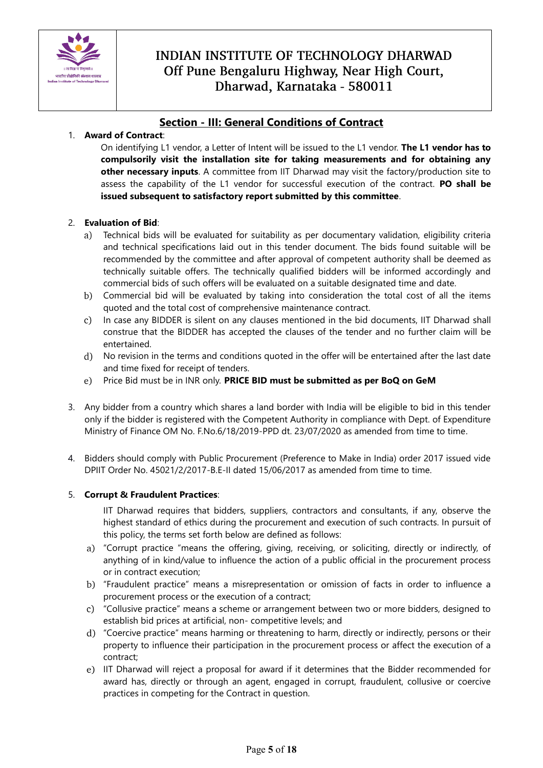

### **Section - III: General Conditions of Contract**

### 1. **Award of Contract**:

On identifying L1 vendor, a Letter of Intent will be issued to the L1 vendor. **The L1 vendor has to compulsorily visit the installation site for taking measurements and for obtaining any other necessary inputs**. A committee from IIT Dharwad may visit the factory/production site to assess the capability of the L1 vendor for successful execution of the contract. **PO shall be issued subsequent to satisfactory report submitted by this committee**.

### 2. **Evaluation of Bid**:

- Technical bids will be evaluated for suitability as per documentary validation, eligibility criteria and technical specifications laid out in this tender document. The bids found suitable will be recommended by the committee and after approval of competent authority shall be deemed as technically suitable offers. The technically qualified bidders will be informed accordingly and commercial bids of such offers will be evaluated on a suitable designated time and date.
- Commercial bid will be evaluated by taking into consideration the total cost of all the items quoted and the total cost of comprehensive maintenance contract.
- In case any BIDDER is silent on any clauses mentioned in the bid documents, IIT Dharwad shall  $c)$ construe that the BIDDER has accepted the clauses of the tender and no further claim will be entertained.
- No revision in the terms and conditions quoted in the offer will be entertained after the last date and time fixed for receipt of tenders.
- Price Bid must be in INR only. **PRICE BID must be submitted as per BoQ on GeM**  $e)$
- 3. Any bidder from a country which shares a land border with India will be eligible to bid in this tender only if the bidder is registered with the Competent Authority in compliance with Dept. of Expenditure Ministry of Finance OM No. F.No.6/18/2019-PPD dt. 23/07/2020 as amended from time to time.
- 4. Bidders should comply with Public Procurement (Preference to Make in India) order 2017 issued vide DPIIT Order No. 45021/2/2017-B.E-II dated 15/06/2017 as amended from time to time.

#### 5. **Corrupt & Fraudulent Practices**:

IIT Dharwad requires that bidders, suppliers, contractors and consultants, if any, observe the highest standard of ethics during the procurement and execution of such contracts. In pursuit of this policy, the terms set forth below are defined as follows:

- a) "Corrupt practice "means the offering, giving, receiving, or soliciting, directly or indirectly, of anything of in kind/value to influence the action of a public official in the procurement process or in contract execution;
- "Fraudulent practice" means a misrepresentation or omission of facts in order to influence a procurement process or the execution of a contract;
- "Collusive practice" means a scheme or arrangement between two or more bidders, designed to establish bid prices at artificial, non- competitive levels; and
- "Coercive practice" means harming or threatening to harm, directly or indirectly, persons or their property to influence their participation in the procurement process or affect the execution of a contract;
- e) IIT Dharwad will reject a proposal for award if it determines that the Bidder recommended for award has, directly or through an agent, engaged in corrupt, fraudulent, collusive or coercive practices in competing for the Contract in question.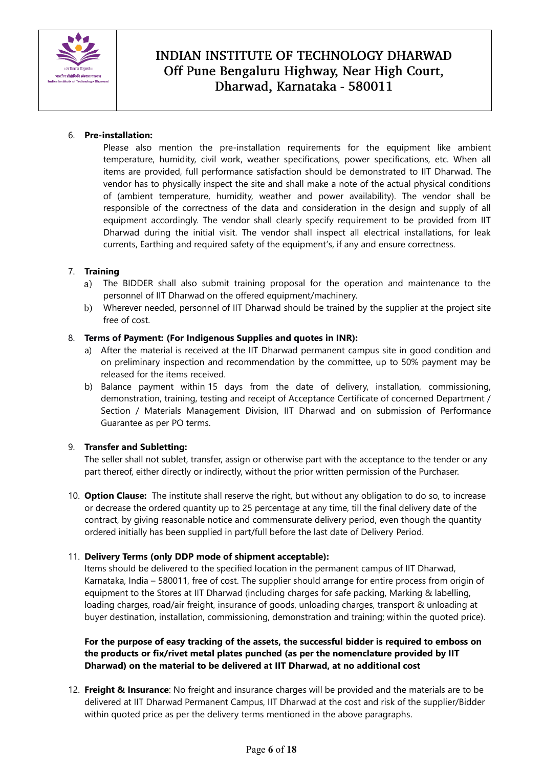

#### 6. **Pre-installation:**

Please also mention the pre-installation requirements for the equipment like ambient temperature, humidity, civil work, weather specifications, power specifications, etc. When all items are provided, full performance satisfaction should be demonstrated to IIT Dharwad. The vendor has to physically inspect the site and shall make a note of the actual physical conditions of (ambient temperature, humidity, weather and power availability). The vendor shall be responsible of the correctness of the data and consideration in the design and supply of all equipment accordingly. The vendor shall clearly specify requirement to be provided from IIT Dharwad during the initial visit. The vendor shall inspect all electrical installations, for leak currents, Earthing and required safety of the equipment's, if any and ensure correctness.

#### 7. **Training**

- The BIDDER shall also submit training proposal for the operation and maintenance to the personnel of IIT Dharwad on the offered equipment/machinery.
- Wherever needed, personnel of IIT Dharwad should be trained by the supplier at the project site  $b)$ free of cost.

#### 8. **Terms of Payment: (For Indigenous Supplies and quotes in INR):**

- a) After the material is received at the IIT Dharwad permanent campus site in good condition and on preliminary inspection and recommendation by the committee, up to 50% payment may be released for the items received.
- b) Balance payment within 15 days from the date of delivery, installation, commissioning, demonstration, training, testing and receipt of Acceptance Certificate of concerned Department / Section / Materials Management Division, IIT Dharwad and on submission of Performance Guarantee as per PO terms.

### 9. **Transfer and Subletting:**

The seller shall not sublet, transfer, assign or otherwise part with the acceptance to the tender or any part thereof, either directly or indirectly, without the prior written permission of the Purchaser.

10. **Option Clause:** The institute shall reserve the right, but without any obligation to do so, to increase or decrease the ordered quantity up to 25 percentage at any time, till the final delivery date of the contract, by giving reasonable notice and commensurate delivery period, even though the quantity ordered initially has been supplied in part/full before the last date of Delivery Period.

### 11. **Delivery Terms (only DDP mode of shipment acceptable):**

Items should be delivered to the specified location in the permanent campus of IIT Dharwad, Karnataka, India – 580011, free of cost. The supplier should arrange for entire process from origin of equipment to the Stores at IIT Dharwad (including charges for safe packing, Marking & labelling, loading charges, road/air freight, insurance of goods, unloading charges, transport & unloading at buyer destination, installation, commissioning, demonstration and training; within the quoted price).

### **For the purpose of easy tracking of the assets, the successful bidder is required to emboss on the products or fix/rivet metal plates punched (as per the nomenclature provided by IIT Dharwad) on the material to be delivered at IIT Dharwad, at no additional cost**

12. **Freight & Insurance**: No freight and insurance charges will be provided and the materials are to be delivered at IIT Dharwad Permanent Campus, IIT Dharwad at the cost and risk of the supplier/Bidder within quoted price as per the delivery terms mentioned in the above paragraphs.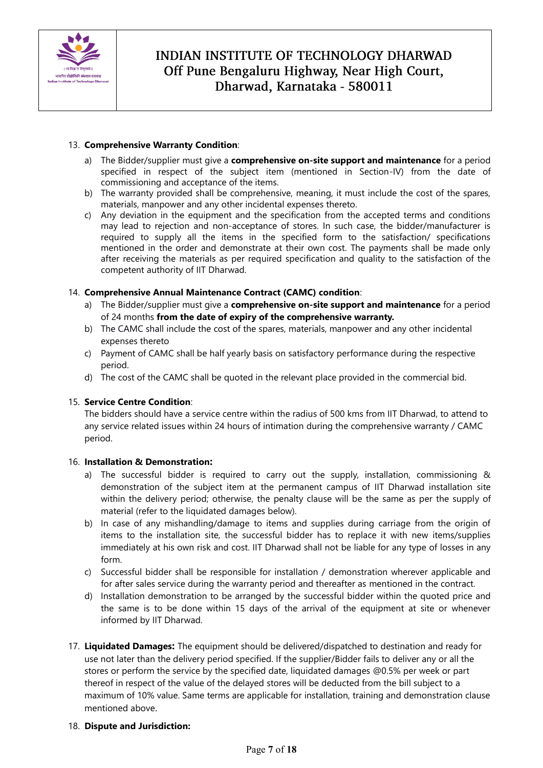

#### 13. **Comprehensive Warranty Condition**:

- a) The Bidder/supplier must give a **comprehensive on-site support and maintenance** for a period specified in respect of the subject item (mentioned in Section-IV) from the date of commissioning and acceptance of the items.
- b) The warranty provided shall be comprehensive, meaning, it must include the cost of the spares, materials, manpower and any other incidental expenses thereto.
- c) Any deviation in the equipment and the specification from the accepted terms and conditions may lead to rejection and non-acceptance of stores. In such case, the bidder/manufacturer is required to supply all the items in the specified form to the satisfaction/ specifications mentioned in the order and demonstrate at their own cost. The payments shall be made only after receiving the materials as per required specification and quality to the satisfaction of the competent authority of IIT Dharwad.

#### 14. **Comprehensive Annual Maintenance Contract (CAMC) condition**:

- a) The Bidder/supplier must give a **comprehensive on-site support and maintenance** for a period of 24 months **from the date of expiry of the comprehensive warranty.**
- b) The CAMC shall include the cost of the spares, materials, manpower and any other incidental expenses thereto
- c) Payment of CAMC shall be half yearly basis on satisfactory performance during the respective period.
- d) The cost of the CAMC shall be quoted in the relevant place provided in the commercial bid.

#### 15. **Service Centre Condition**:

The bidders should have a service centre within the radius of 500 kms from IIT Dharwad, to attend to any service related issues within 24 hours of intimation during the comprehensive warranty / CAMC period.

#### 16. **Installation & Demonstration:**

- a) The successful bidder is required to carry out the supply, installation, commissioning & demonstration of the subject item at the permanent campus of IIT Dharwad installation site within the delivery period; otherwise, the penalty clause will be the same as per the supply of material (refer to the liquidated damages below).
- b) In case of any mishandling/damage to items and supplies during carriage from the origin of items to the installation site, the successful bidder has to replace it with new items/supplies immediately at his own risk and cost. IIT Dharwad shall not be liable for any type of losses in any form.
- c) Successful bidder shall be responsible for installation / demonstration wherever applicable and for after sales service during the warranty period and thereafter as mentioned in the contract.
- d) Installation demonstration to be arranged by the successful bidder within the quoted price and the same is to be done within 15 days of the arrival of the equipment at site or whenever informed by IIT Dharwad.
- 17. **Liquidated Damages:** The equipment should be delivered/dispatched to destination and ready for use not later than the delivery period specified. If the supplier/Bidder fails to deliver any or all the stores or perform the service by the specified date, liquidated damages @0.5% per week or part thereof in respect of the value of the delayed stores will be deducted from the bill subject to a maximum of 10% value. Same terms are applicable for installation, training and demonstration clause mentioned above.

#### 18. **Dispute and Jurisdiction:**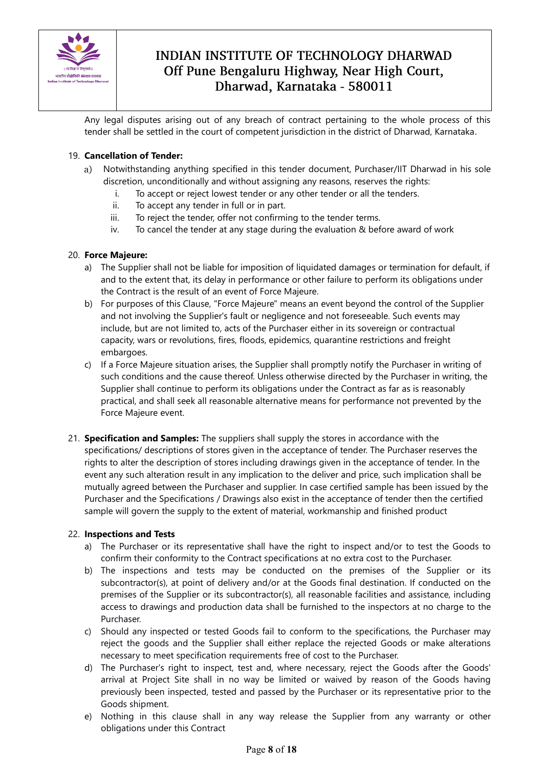

Any legal disputes arising out of any breach of contract pertaining to the whole process of this tender shall be settled in the court of competent jurisdiction in the district of Dharwad, Karnataka.

### 19. **Cancellation of Tender:**

- Notwithstanding anything specified in this tender document, Purchaser/IIT Dharwad in his sole  $a)$ discretion, unconditionally and without assigning any reasons, reserves the rights:
	- i. To accept or reject lowest tender or any other tender or all the tenders.
	- ii. To accept any tender in full or in part.
	- iii. To reject the tender, offer not confirming to the tender terms.
	- iv. To cancel the tender at any stage during the evaluation & before award of work

### 20. **Force Majeure:**

- a) The Supplier shall not be liable for imposition of liquidated damages or termination for default, if and to the extent that, its delay in performance or other failure to perform its obligations under the Contract is the result of an event of Force Majeure.
- b) For purposes of this Clause, "Force Majeure" means an event beyond the control of the Supplier and not involving the Supplier's fault or negligence and not foreseeable. Such events may include, but are not limited to, acts of the Purchaser either in its sovereign or contractual capacity, wars or revolutions, fires, floods, epidemics, quarantine restrictions and freight embargoes.
- c) If a Force Majeure situation arises, the Supplier shall promptly notify the Purchaser in writing of such conditions and the cause thereof. Unless otherwise directed by the Purchaser in writing, the Supplier shall continue to perform its obligations under the Contract as far as is reasonably practical, and shall seek all reasonable alternative means for performance not prevented by the Force Majeure event.
- 21. **Specification and Samples:** The suppliers shall supply the stores in accordance with the specifications/ descriptions of stores given in the acceptance of tender. The Purchaser reserves the rights to alter the description of stores including drawings given in the acceptance of tender. In the event any such alteration result in any implication to the deliver and price, such implication shall be mutually agreed between the Purchaser and supplier. In case certified sample has been issued by the Purchaser and the Specifications / Drawings also exist in the acceptance of tender then the certified sample will govern the supply to the extent of material, workmanship and finished product

### 22. **Inspections and Tests**

- a) The Purchaser or its representative shall have the right to inspect and/or to test the Goods to confirm their conformity to the Contract specifications at no extra cost to the Purchaser.
- b) The inspections and tests may be conducted on the premises of the Supplier or its subcontractor(s), at point of delivery and/or at the Goods final destination. If conducted on the premises of the Supplier or its subcontractor(s), all reasonable facilities and assistance, including access to drawings and production data shall be furnished to the inspectors at no charge to the Purchaser.
- c) Should any inspected or tested Goods fail to conform to the specifications, the Purchaser may reject the goods and the Supplier shall either replace the rejected Goods or make alterations necessary to meet specification requirements free of cost to the Purchaser.
- d) The Purchaser's right to inspect, test and, where necessary, reject the Goods after the Goods' arrival at Project Site shall in no way be limited or waived by reason of the Goods having previously been inspected, tested and passed by the Purchaser or its representative prior to the Goods shipment.
- e) Nothing in this clause shall in any way release the Supplier from any warranty or other obligations under this Contract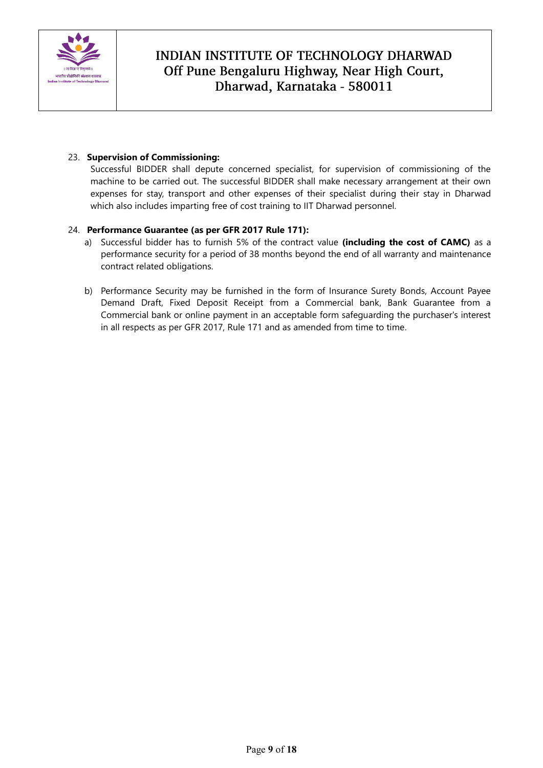

#### 23. **Supervision of Commissioning:**

Successful BIDDER shall depute concerned specialist, for supervision of commissioning of the machine to be carried out. The successful BIDDER shall make necessary arrangement at their own expenses for stay, transport and other expenses of their specialist during their stay in Dharwad which also includes imparting free of cost training to IIT Dharwad personnel.

#### 24. **Performance Guarantee (as per GFR 2017 Rule 171):**

- a) Successful bidder has to furnish 5% of the contract value **(including the cost of CAMC)** as a performance security for a period of 38 months beyond the end of all warranty and maintenance contract related obligations.
- b) Performance Security may be furnished in the form of Insurance Surety Bonds, Account Payee Demand Draft, Fixed Deposit Receipt from a Commercial bank, Bank Guarantee from a Commercial bank or online payment in an acceptable form safeguarding the purchaser's interest in all respects as per GFR 2017, Rule 171 and as amended from time to time.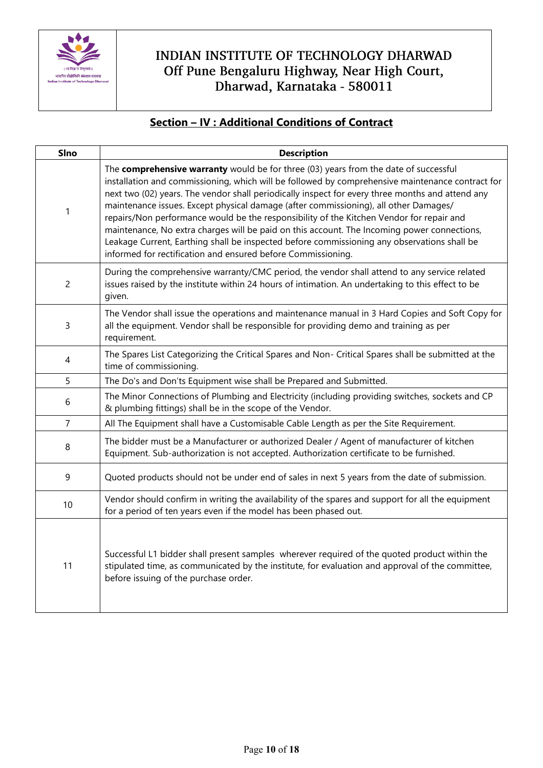

### **Section – IV : Additional Conditions of Contract**

| <b>SIno</b>    | <b>Description</b>                                                                                                                                                                                                                                                                                                                                                                                                                                                                                                                                                                                                                                                                                                                             |
|----------------|------------------------------------------------------------------------------------------------------------------------------------------------------------------------------------------------------------------------------------------------------------------------------------------------------------------------------------------------------------------------------------------------------------------------------------------------------------------------------------------------------------------------------------------------------------------------------------------------------------------------------------------------------------------------------------------------------------------------------------------------|
| 1              | The comprehensive warranty would be for three (03) years from the date of successful<br>installation and commissioning, which will be followed by comprehensive maintenance contract for<br>next two (02) years. The vendor shall periodically inspect for every three months and attend any<br>maintenance issues. Except physical damage (after commissioning), all other Damages/<br>repairs/Non performance would be the responsibility of the Kitchen Vendor for repair and<br>maintenance, No extra charges will be paid on this account. The Incoming power connections,<br>Leakage Current, Earthing shall be inspected before commissioning any observations shall be<br>informed for rectification and ensured before Commissioning. |
| $\overline{c}$ | During the comprehensive warranty/CMC period, the vendor shall attend to any service related<br>issues raised by the institute within 24 hours of intimation. An undertaking to this effect to be<br>given.                                                                                                                                                                                                                                                                                                                                                                                                                                                                                                                                    |
| 3              | The Vendor shall issue the operations and maintenance manual in 3 Hard Copies and Soft Copy for<br>all the equipment. Vendor shall be responsible for providing demo and training as per<br>requirement.                                                                                                                                                                                                                                                                                                                                                                                                                                                                                                                                       |
| 4              | The Spares List Categorizing the Critical Spares and Non- Critical Spares shall be submitted at the<br>time of commissioning.                                                                                                                                                                                                                                                                                                                                                                                                                                                                                                                                                                                                                  |
| 5              | The Do's and Don'ts Equipment wise shall be Prepared and Submitted.                                                                                                                                                                                                                                                                                                                                                                                                                                                                                                                                                                                                                                                                            |
| 6              | The Minor Connections of Plumbing and Electricity (including providing switches, sockets and CP<br>& plumbing fittings) shall be in the scope of the Vendor.                                                                                                                                                                                                                                                                                                                                                                                                                                                                                                                                                                                   |
| $\overline{7}$ | All The Equipment shall have a Customisable Cable Length as per the Site Requirement.                                                                                                                                                                                                                                                                                                                                                                                                                                                                                                                                                                                                                                                          |
| 8              | The bidder must be a Manufacturer or authorized Dealer / Agent of manufacturer of kitchen<br>Equipment. Sub-authorization is not accepted. Authorization certificate to be furnished.                                                                                                                                                                                                                                                                                                                                                                                                                                                                                                                                                          |
| 9              | Quoted products should not be under end of sales in next 5 years from the date of submission.                                                                                                                                                                                                                                                                                                                                                                                                                                                                                                                                                                                                                                                  |
| 10             | Vendor should confirm in writing the availability of the spares and support for all the equipment<br>for a period of ten years even if the model has been phased out.                                                                                                                                                                                                                                                                                                                                                                                                                                                                                                                                                                          |
| 11             | Successful L1 bidder shall present samples wherever required of the quoted product within the<br>stipulated time, as communicated by the institute, for evaluation and approval of the committee,<br>before issuing of the purchase order.                                                                                                                                                                                                                                                                                                                                                                                                                                                                                                     |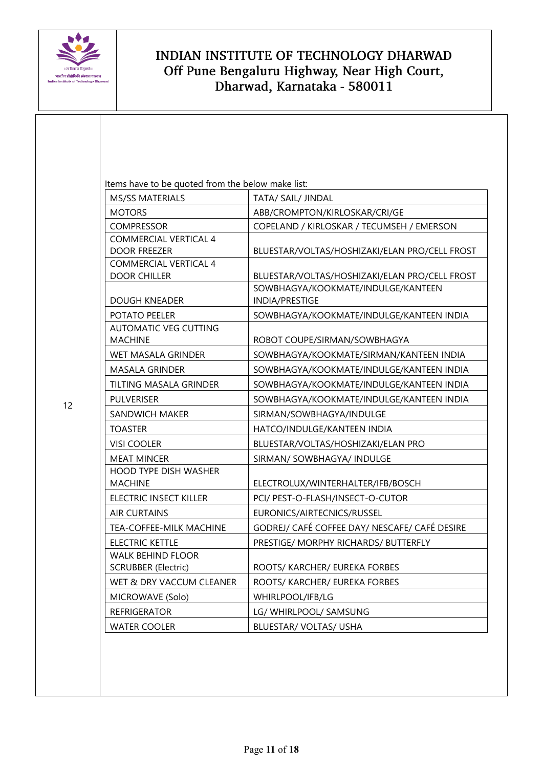

12

| Items have to be quoted from the below make list:<br>MS/SS MATERIALS | TATA/ SAIL/ JINDAL                            |
|----------------------------------------------------------------------|-----------------------------------------------|
| <b>MOTORS</b>                                                        | ABB/CROMPTON/KIRLOSKAR/CRI/GE                 |
| <b>COMPRESSOR</b>                                                    | COPELAND / KIRLOSKAR / TECUMSEH / EMERSON     |
| <b>COMMERCIAL VERTICAL 4</b>                                         |                                               |
| <b>DOOR FREEZER</b>                                                  | BLUESTAR/VOLTAS/HOSHIZAKI/ELAN PRO/CELL FROST |
| <b>COMMERCIAL VERTICAL 4</b>                                         |                                               |
| <b>DOOR CHILLER</b>                                                  | BLUESTAR/VOLTAS/HOSHIZAKI/ELAN PRO/CELL FROST |
|                                                                      | SOWBHAGYA/KOOKMATE/INDULGE/KANTEEN            |
| <b>DOUGH KNEADER</b>                                                 | INDIA/PRESTIGE                                |
| POTATO PEELER                                                        | SOWBHAGYA/KOOKMATE/INDULGE/KANTEEN INDIA      |
| <b>AUTOMATIC VEG CUTTING</b><br><b>MACHINE</b>                       | ROBOT COUPE/SIRMAN/SOWBHAGYA                  |
| WET MASALA GRINDER                                                   | SOWBHAGYA/KOOKMATE/SIRMAN/KANTEEN INDIA       |
| <b>MASALA GRINDER</b>                                                | SOWBHAGYA/KOOKMATE/INDULGE/KANTEEN INDIA      |
| TILTING MASALA GRINDER                                               | SOWBHAGYA/KOOKMATE/INDULGE/KANTEEN INDIA      |
| <b>PULVERISER</b>                                                    | SOWBHAGYA/KOOKMATE/INDULGE/KANTEEN INDIA      |
| SANDWICH MAKER                                                       | SIRMAN/SOWBHAGYA/INDULGE                      |
| <b>TOASTER</b>                                                       | HATCO/INDULGE/KANTEEN INDIA                   |
| <b>VISI COOLER</b>                                                   | BLUESTAR/VOLTAS/HOSHIZAKI/ELAN PRO            |
| <b>MEAT MINCER</b>                                                   | SIRMAN/ SOWBHAGYA/ INDULGE                    |
| <b>HOOD TYPE DISH WASHER</b><br><b>MACHINE</b>                       | ELECTROLUX/WINTERHALTER/IFB/BOSCH             |
| ELECTRIC INSECT KILLER                                               | PCI/ PEST-O-FLASH/INSECT-O-CUTOR              |
| <b>AIR CURTAINS</b>                                                  | EURONICS/AIRTECNICS/RUSSEL                    |
| TEA-COFFEE-MILK MACHINE                                              | GODREJ/ CAFÉ COFFEE DAY/ NESCAFE/ CAFÉ DESIRE |
| <b>ELECTRIC KETTLE</b>                                               | PRESTIGE/ MORPHY RICHARDS/ BUTTERFLY          |
| <b>WALK BEHIND FLOOR</b>                                             |                                               |
| <b>SCRUBBER (Electric)</b>                                           | ROOTS/ KARCHER/ EUREKA FORBES                 |
| WET & DRY VACCUM CLEANER                                             | ROOTS/ KARCHER/ EUREKA FORBES                 |
| MICROWAVE (Solo)                                                     | WHIRLPOOL/IFB/LG                              |
| <b>REFRIGERATOR</b>                                                  | LG/ WHIRLPOOL/ SAMSUNG                        |
| <b>WATER COOLER</b>                                                  | BLUESTAR/ VOLTAS/ USHA                        |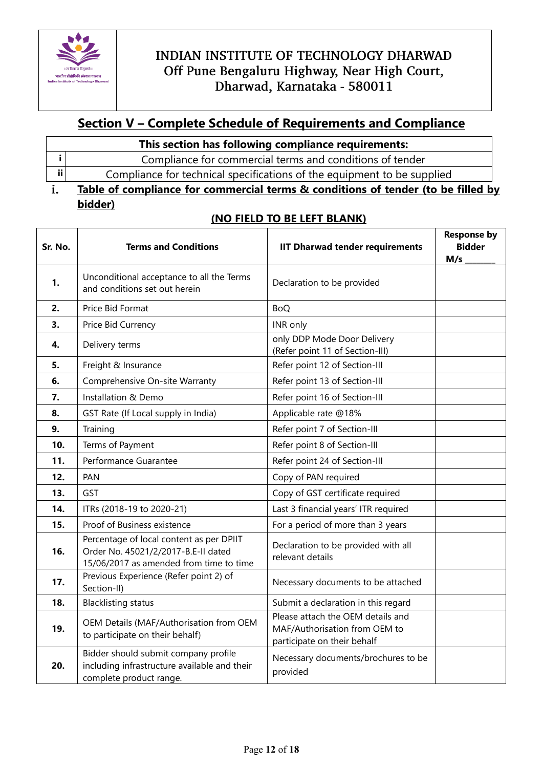

# **Section V – Complete Schedule of Requirements and Compliance**

| This section has following compliance requirements:                     |  |
|-------------------------------------------------------------------------|--|
| Compliance for commercial terms and conditions of tender                |  |
| Compliance for technical specifications of the equipment to be supplied |  |
|                                                                         |  |

#### **Table of compliance for commercial terms & conditions of tender (to be filled by**  i. **bidder)**

#### **Sr. No. Terms and Conditions IIT Dharwad tender requirements Response by Bidder M/s \_\_\_\_\_\_\_\_ 1.** Unconditional acceptance to all the Terms and conditions set out herein **Declaration** to be provided **2.** Price Bid Format BoQ **3.** Price Bid Currency **INC** INR only **4.** Delivery terms **only DDP Mode Door Delivery** (Refer point 11 of Section-III) **5.** Freight & Insurance Refer point 12 of Section-III **6.** Comprehensive On-site Warranty Refer point 13 of Section-III **7.** Installation & Demo Refer point 16 of Section-III **8.** GST Rate (If Local supply in India) Applicable rate @18% **9.** Training **Refer point 7 of Section-III 10.** Terms of Payment Refer point 8 of Section-III **11.** Performance Guarantee Refer point 24 of Section-III **12.** PAN Copy of PAN required **13.** GST GST COPY Of GST certificate required **14.** ITRs (2018-19 to 2020-21) **Last 3 financial years' ITR required 15.** Proof of Business existence For a period of more than 3 years **16.** Percentage of local content as per DPIIT Order No. 45021/2/2017-B.E-II dated 15/06/2017 as amended from time to time Declaration to be provided with all relevant details **17.** Previous Experience (Refer point 2) of Section-II) Necessary documents to be attached **18.** Blacklisting status Submit a declaration in this regard **19.** OEM Details (MAF/Authorisation from OEM to participate on their behalf) Please attach the OEM details and MAF/Authorisation from OEM to participate on their behalf **20.** Bidder should submit company profile including infrastructure available and their complete product range. Necessary documents/brochures to be provided

### **(NO FIELD TO BE LEFT BLANK)**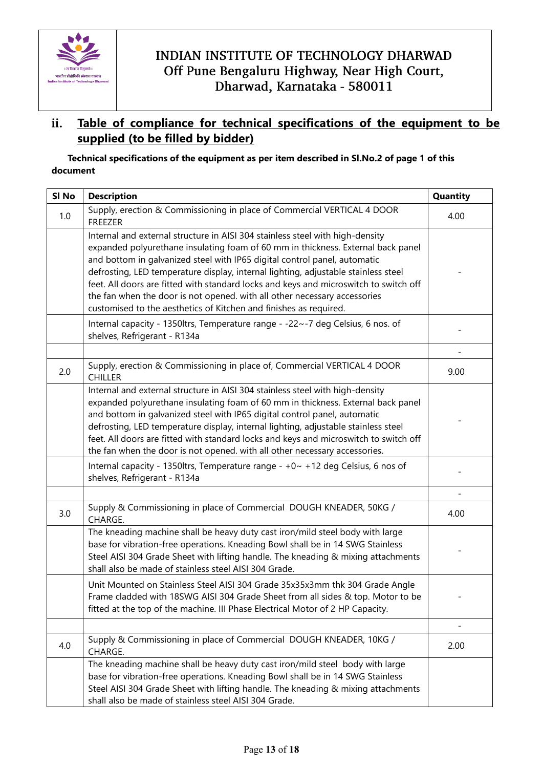

#### **Table of compliance for technical specifications of the equipment to be**  ii. **supplied (to be filled by bidder)**

### **Technical specifications of the equipment as per item described in Sl.No.2 of page 1 of this document**

| SI No | <b>Description</b>                                                                                                                                                                                                                                                                                                                                                                                                                                                                                                                                                              | Quantity |
|-------|---------------------------------------------------------------------------------------------------------------------------------------------------------------------------------------------------------------------------------------------------------------------------------------------------------------------------------------------------------------------------------------------------------------------------------------------------------------------------------------------------------------------------------------------------------------------------------|----------|
| 1.0   | Supply, erection & Commissioning in place of Commercial VERTICAL 4 DOOR<br>FREEZER                                                                                                                                                                                                                                                                                                                                                                                                                                                                                              | 4.00     |
|       | Internal and external structure in AISI 304 stainless steel with high-density<br>expanded polyurethane insulating foam of 60 mm in thickness. External back panel<br>and bottom in galvanized steel with IP65 digital control panel, automatic<br>defrosting, LED temperature display, internal lighting, adjustable stainless steel<br>feet. All doors are fitted with standard locks and keys and microswitch to switch off<br>the fan when the door is not opened. with all other necessary accessories<br>customised to the aesthetics of Kitchen and finishes as required. |          |
|       | Internal capacity - 1350ltrs, Temperature range - -22~-7 deg Celsius, 6 nos. of<br>shelves, Refrigerant - R134a                                                                                                                                                                                                                                                                                                                                                                                                                                                                 |          |
|       |                                                                                                                                                                                                                                                                                                                                                                                                                                                                                                                                                                                 |          |
| 2.0   | Supply, erection & Commissioning in place of, Commercial VERTICAL 4 DOOR<br><b>CHILLER</b>                                                                                                                                                                                                                                                                                                                                                                                                                                                                                      | 9.00     |
|       | Internal and external structure in AISI 304 stainless steel with high-density<br>expanded polyurethane insulating foam of 60 mm in thickness. External back panel<br>and bottom in galvanized steel with IP65 digital control panel, automatic<br>defrosting, LED temperature display, internal lighting, adjustable stainless steel<br>feet. All doors are fitted with standard locks and keys and microswitch to switch off<br>the fan when the door is not opened. with all other necessary accessories.                                                                     |          |
|       | Internal capacity - 1350ltrs, Temperature range - +0~ +12 deg Celsius, 6 nos of<br>shelves, Refrigerant - R134a                                                                                                                                                                                                                                                                                                                                                                                                                                                                 |          |
|       |                                                                                                                                                                                                                                                                                                                                                                                                                                                                                                                                                                                 |          |
| 3.0   | Supply & Commissioning in place of Commercial DOUGH KNEADER, 50KG /<br>CHARGE.                                                                                                                                                                                                                                                                                                                                                                                                                                                                                                  | 4.00     |
|       | The kneading machine shall be heavy duty cast iron/mild steel body with large<br>base for vibration-free operations. Kneading Bowl shall be in 14 SWG Stainless<br>Steel AISI 304 Grade Sheet with lifting handle. The kneading & mixing attachments<br>shall also be made of stainless steel AISI 304 Grade.                                                                                                                                                                                                                                                                   |          |
|       | Unit Mounted on Stainless Steel AISI 304 Grade 35x35x3mm thk 304 Grade Angle<br>Frame cladded with 18SWG AISI 304 Grade Sheet from all sides & top. Motor to be<br>fitted at the top of the machine. III Phase Electrical Motor of 2 HP Capacity.                                                                                                                                                                                                                                                                                                                               |          |
|       |                                                                                                                                                                                                                                                                                                                                                                                                                                                                                                                                                                                 |          |
| 4.0   | Supply & Commissioning in place of Commercial DOUGH KNEADER, 10KG /<br>CHARGE.                                                                                                                                                                                                                                                                                                                                                                                                                                                                                                  | 2.00     |
|       | The kneading machine shall be heavy duty cast iron/mild steel body with large<br>base for vibration-free operations. Kneading Bowl shall be in 14 SWG Stainless<br>Steel AISI 304 Grade Sheet with lifting handle. The kneading & mixing attachments<br>shall also be made of stainless steel AISI 304 Grade.                                                                                                                                                                                                                                                                   |          |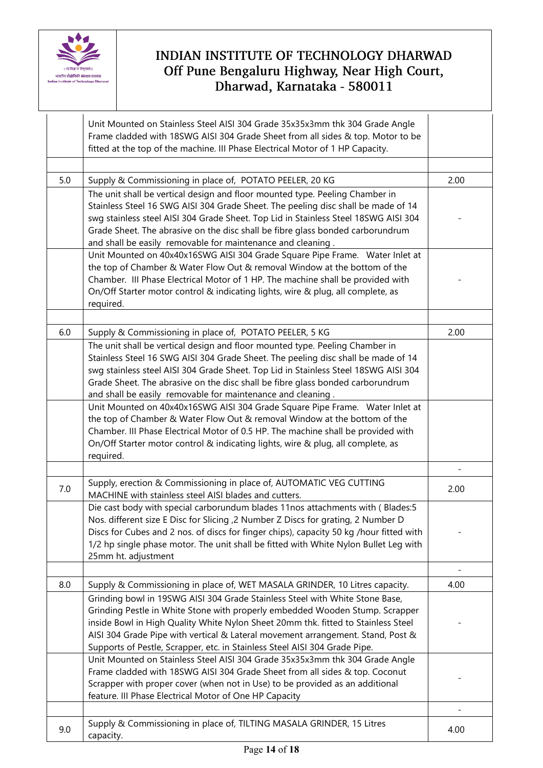

|     | Unit Mounted on Stainless Steel AISI 304 Grade 35x35x3mm thk 304 Grade Angle<br>Frame cladded with 18SWG AISI 304 Grade Sheet from all sides & top. Motor to be<br>fitted at the top of the machine. III Phase Electrical Motor of 1 HP Capacity.                                                                                                                                                                  |      |
|-----|--------------------------------------------------------------------------------------------------------------------------------------------------------------------------------------------------------------------------------------------------------------------------------------------------------------------------------------------------------------------------------------------------------------------|------|
|     |                                                                                                                                                                                                                                                                                                                                                                                                                    |      |
| 5.0 | Supply & Commissioning in place of, POTATO PEELER, 20 KG                                                                                                                                                                                                                                                                                                                                                           | 2.00 |
|     | The unit shall be vertical design and floor mounted type. Peeling Chamber in<br>Stainless Steel 16 SWG AISI 304 Grade Sheet. The peeling disc shall be made of 14<br>swg stainless steel AISI 304 Grade Sheet. Top Lid in Stainless Steel 18SWG AISI 304<br>Grade Sheet. The abrasive on the disc shall be fibre glass bonded carborundrum<br>and shall be easily removable for maintenance and cleaning.          |      |
|     | Unit Mounted on 40x40x16SWG AISI 304 Grade Square Pipe Frame. Water Inlet at<br>the top of Chamber & Water Flow Out & removal Window at the bottom of the<br>Chamber. III Phase Electrical Motor of 1 HP. The machine shall be provided with<br>On/Off Starter motor control & indicating lights, wire & plug, all complete, as<br>required.                                                                       |      |
| 6.0 |                                                                                                                                                                                                                                                                                                                                                                                                                    | 2.00 |
|     | Supply & Commissioning in place of, POTATO PEELER, 5 KG<br>The unit shall be vertical design and floor mounted type. Peeling Chamber in                                                                                                                                                                                                                                                                            |      |
|     | Stainless Steel 16 SWG AISI 304 Grade Sheet. The peeling disc shall be made of 14<br>swg stainless steel AISI 304 Grade Sheet. Top Lid in Stainless Steel 18SWG AISI 304<br>Grade Sheet. The abrasive on the disc shall be fibre glass bonded carborundrum<br>and shall be easily removable for maintenance and cleaning.                                                                                          |      |
|     | Unit Mounted on 40x40x16SWG AISI 304 Grade Square Pipe Frame. Water Inlet at<br>the top of Chamber & Water Flow Out & removal Window at the bottom of the<br>Chamber. III Phase Electrical Motor of 0.5 HP. The machine shall be provided with<br>On/Off Starter motor control & indicating lights, wire & plug, all complete, as<br>required.                                                                     |      |
|     |                                                                                                                                                                                                                                                                                                                                                                                                                    |      |
| 7.0 | Supply, erection & Commissioning in place of, AUTOMATIC VEG CUTTING<br>MACHINE with stainless steel AISI blades and cutters.                                                                                                                                                                                                                                                                                       | 2.00 |
|     | Die cast body with special carborundum blades 11nos attachments with (Blades:5<br>Nos. different size E Disc for Slicing, 2 Number Z Discs for grating, 2 Number D<br>Discs for Cubes and 2 nos. of discs for finger chips), capacity 50 kg /hour fitted with<br>1/2 hp single phase motor. The unit shall be fitted with White Nylon Bullet Leg with<br>25mm ht. adjustment                                       |      |
|     |                                                                                                                                                                                                                                                                                                                                                                                                                    |      |
| 8.0 | Supply & Commissioning in place of, WET MASALA GRINDER, 10 Litres capacity.                                                                                                                                                                                                                                                                                                                                        | 4.00 |
|     | Grinding bowl in 19SWG AISI 304 Grade Stainless Steel with White Stone Base,<br>Grinding Pestle in White Stone with properly embedded Wooden Stump. Scrapper<br>inside Bowl in High Quality White Nylon Sheet 20mm thk. fitted to Stainless Steel<br>AISI 304 Grade Pipe with vertical & Lateral movement arrangement. Stand, Post &<br>Supports of Pestle, Scrapper, etc. in Stainless Steel AISI 304 Grade Pipe. |      |
|     | Unit Mounted on Stainless Steel AISI 304 Grade 35x35x3mm thk 304 Grade Angle<br>Frame cladded with 18SWG AISI 304 Grade Sheet from all sides & top. Coconut<br>Scrapper with proper cover (when not in Use) to be provided as an additional<br>feature. III Phase Electrical Motor of One HP Capacity                                                                                                              |      |
|     |                                                                                                                                                                                                                                                                                                                                                                                                                    |      |
| 9.0 | Supply & Commissioning in place of, TILTING MASALA GRINDER, 15 Litres<br>capacity.                                                                                                                                                                                                                                                                                                                                 | 4.00 |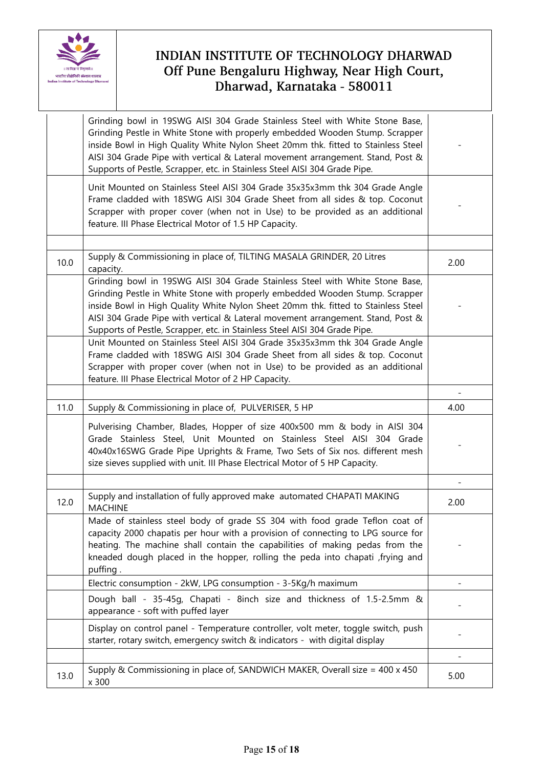

|      | Grinding bowl in 19SWG AISI 304 Grade Stainless Steel with White Stone Base,<br>Grinding Pestle in White Stone with properly embedded Wooden Stump. Scrapper<br>inside Bowl in High Quality White Nylon Sheet 20mm thk. fitted to Stainless Steel<br>AISI 304 Grade Pipe with vertical & Lateral movement arrangement. Stand, Post &                                                                               |      |
|------|--------------------------------------------------------------------------------------------------------------------------------------------------------------------------------------------------------------------------------------------------------------------------------------------------------------------------------------------------------------------------------------------------------------------|------|
|      | Supports of Pestle, Scrapper, etc. in Stainless Steel AISI 304 Grade Pipe.<br>Unit Mounted on Stainless Steel AISI 304 Grade 35x35x3mm thk 304 Grade Angle<br>Frame cladded with 18SWG AISI 304 Grade Sheet from all sides & top. Coconut<br>Scrapper with proper cover (when not in Use) to be provided as an additional<br>feature. III Phase Electrical Motor of 1.5 HP Capacity.                               |      |
|      |                                                                                                                                                                                                                                                                                                                                                                                                                    |      |
| 10.0 | Supply & Commissioning in place of, TILTING MASALA GRINDER, 20 Litres<br>capacity.                                                                                                                                                                                                                                                                                                                                 | 2.00 |
|      | Grinding bowl in 19SWG AISI 304 Grade Stainless Steel with White Stone Base,<br>Grinding Pestle in White Stone with properly embedded Wooden Stump. Scrapper<br>inside Bowl in High Quality White Nylon Sheet 20mm thk. fitted to Stainless Steel<br>AISI 304 Grade Pipe with vertical & Lateral movement arrangement. Stand, Post &<br>Supports of Pestle, Scrapper, etc. in Stainless Steel AISI 304 Grade Pipe. |      |
|      | Unit Mounted on Stainless Steel AISI 304 Grade 35x35x3mm thk 304 Grade Angle<br>Frame cladded with 18SWG AISI 304 Grade Sheet from all sides & top. Coconut<br>Scrapper with proper cover (when not in Use) to be provided as an additional<br>feature. III Phase Electrical Motor of 2 HP Capacity.                                                                                                               |      |
|      |                                                                                                                                                                                                                                                                                                                                                                                                                    |      |
| 11.0 | Supply & Commissioning in place of, PULVERISER, 5 HP                                                                                                                                                                                                                                                                                                                                                               | 4.00 |
|      | Pulverising Chamber, Blades, Hopper of size 400x500 mm & body in AISI 304<br>Grade Stainless Steel, Unit Mounted on Stainless Steel AISI 304 Grade<br>40x40x16SWG Grade Pipe Uprights & Frame, Two Sets of Six nos. different mesh<br>size sieves supplied with unit. III Phase Electrical Motor of 5 HP Capacity.                                                                                                 |      |
|      |                                                                                                                                                                                                                                                                                                                                                                                                                    |      |
| 12.0 | Supply and installation of fully approved make automated CHAPATI MAKING<br><b>MACHINE</b>                                                                                                                                                                                                                                                                                                                          | 2.00 |
|      | Made of stainless steel body of grade SS 304 with food grade Teflon coat of<br>capacity 2000 chapatis per hour with a provision of connecting to LPG source for<br>heating. The machine shall contain the capabilities of making pedas from the<br>kneaded dough placed in the hopper, rolling the peda into chapati , frying and<br>puffing.                                                                      |      |
|      | Electric consumption - 2kW, LPG consumption - 3-5Kg/h maximum                                                                                                                                                                                                                                                                                                                                                      |      |
|      | Dough ball - 35-45g, Chapati - 8inch size and thickness of 1.5-2.5mm &<br>appearance - soft with puffed layer                                                                                                                                                                                                                                                                                                      |      |
|      | Display on control panel - Temperature controller, volt meter, toggle switch, push<br>starter, rotary switch, emergency switch & indicators - with digital display                                                                                                                                                                                                                                                 |      |
|      |                                                                                                                                                                                                                                                                                                                                                                                                                    |      |
| 13.0 | Supply & Commissioning in place of, SANDWICH MAKER, Overall size = 400 x 450                                                                                                                                                                                                                                                                                                                                       | 5.00 |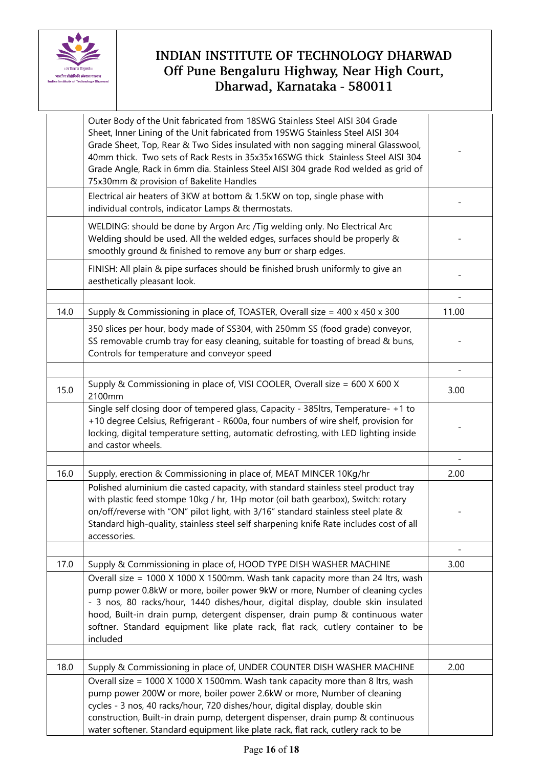

|      | Outer Body of the Unit fabricated from 18SWG Stainless Steel AISI 304 Grade<br>Sheet, Inner Lining of the Unit fabricated from 19SWG Stainless Steel AISI 304<br>Grade Sheet, Top, Rear & Two Sides insulated with non sagging mineral Glasswool,<br>40mm thick. Two sets of Rack Rests in 35x35x16SWG thick Stainless Steel AISI 304<br>Grade Angle, Rack in 6mm dia. Stainless Steel AISI 304 grade Rod welded as grid of<br>75x30mm & provision of Bakelite Handles                     |                          |
|------|--------------------------------------------------------------------------------------------------------------------------------------------------------------------------------------------------------------------------------------------------------------------------------------------------------------------------------------------------------------------------------------------------------------------------------------------------------------------------------------------|--------------------------|
|      | Electrical air heaters of 3KW at bottom & 1.5KW on top, single phase with<br>individual controls, indicator Lamps & thermostats.                                                                                                                                                                                                                                                                                                                                                           |                          |
|      | WELDING: should be done by Argon Arc /Tig welding only. No Electrical Arc<br>Welding should be used. All the welded edges, surfaces should be properly &<br>smoothly ground & finished to remove any burr or sharp edges.                                                                                                                                                                                                                                                                  |                          |
|      | FINISH: All plain & pipe surfaces should be finished brush uniformly to give an<br>aesthetically pleasant look.                                                                                                                                                                                                                                                                                                                                                                            |                          |
|      |                                                                                                                                                                                                                                                                                                                                                                                                                                                                                            |                          |
| 14.0 | Supply & Commissioning in place of, TOASTER, Overall size = 400 x 450 x 300                                                                                                                                                                                                                                                                                                                                                                                                                | 11.00                    |
|      | 350 slices per hour, body made of SS304, with 250mm SS (food grade) conveyor,<br>SS removable crumb tray for easy cleaning, suitable for toasting of bread & buns,<br>Controls for temperature and conveyor speed                                                                                                                                                                                                                                                                          |                          |
|      |                                                                                                                                                                                                                                                                                                                                                                                                                                                                                            |                          |
| 15.0 | Supply & Commissioning in place of, VISI COOLER, Overall size = 600 X 600 X<br>2100mm                                                                                                                                                                                                                                                                                                                                                                                                      | 3.00                     |
|      | Single self closing door of tempered glass, Capacity - 385ltrs, Temperature- +1 to<br>+10 degree Celsius, Refrigerant - R600a, four numbers of wire shelf, provision for<br>locking, digital temperature setting, automatic defrosting, with LED lighting inside<br>and castor wheels.                                                                                                                                                                                                     |                          |
|      |                                                                                                                                                                                                                                                                                                                                                                                                                                                                                            |                          |
| 16.0 | Supply, erection & Commissioning in place of, MEAT MINCER 10Kg/hr                                                                                                                                                                                                                                                                                                                                                                                                                          | 2.00                     |
|      | Polished aluminium die casted capacity, with standard stainless steel product tray<br>with plastic feed stompe 10kg / hr, 1Hp motor (oil bath gearbox), Switch: rotary<br>on/off/reverse with "ON" pilot light, with 3/16" standard stainless steel plate &<br>Standard high-quality, stainless steel self sharpening knife Rate includes cost of all<br>accessories.                                                                                                                      |                          |
|      |                                                                                                                                                                                                                                                                                                                                                                                                                                                                                            | $\overline{\phantom{a}}$ |
| 17.0 | Supply & Commissioning in place of, HOOD TYPE DISH WASHER MACHINE                                                                                                                                                                                                                                                                                                                                                                                                                          | 3.00                     |
|      | Overall size = 1000 X 1000 X 1500mm. Wash tank capacity more than 24 ltrs, wash<br>pump power 0.8kW or more, boiler power 9kW or more, Number of cleaning cycles<br>- 3 nos, 80 racks/hour, 1440 dishes/hour, digital display, double skin insulated<br>hood, Built-in drain pump, detergent dispenser, drain pump & continuous water<br>softner. Standard equipment like plate rack, flat rack, cutlery container to be<br>included                                                       |                          |
|      |                                                                                                                                                                                                                                                                                                                                                                                                                                                                                            |                          |
| 18.0 | Supply & Commissioning in place of, UNDER COUNTER DISH WASHER MACHINE<br>Overall size = 1000 X 1000 X 1500mm. Wash tank capacity more than 8 ltrs, wash<br>pump power 200W or more, boiler power 2.6kW or more, Number of cleaning<br>cycles - 3 nos, 40 racks/hour, 720 dishes/hour, digital display, double skin<br>construction, Built-in drain pump, detergent dispenser, drain pump & continuous<br>water softener. Standard equipment like plate rack, flat rack, cutlery rack to be | 2.00                     |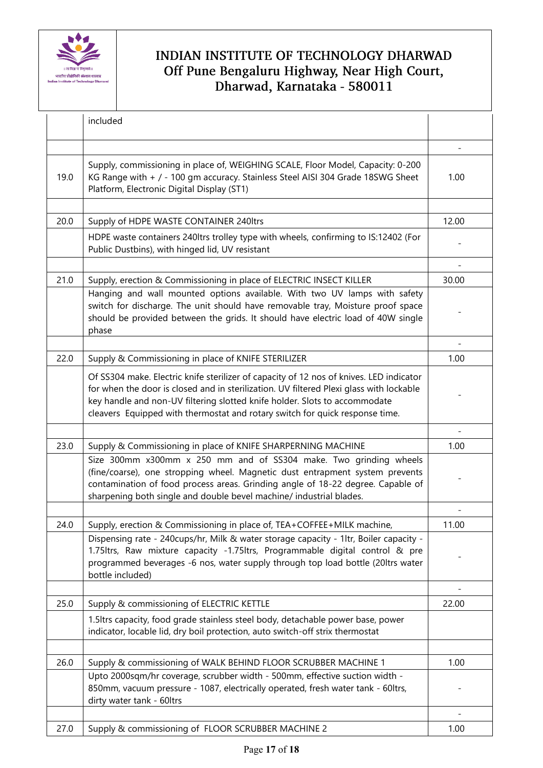

|      | included                                                                                                                                                                                                                                                                                                                                         |       |
|------|--------------------------------------------------------------------------------------------------------------------------------------------------------------------------------------------------------------------------------------------------------------------------------------------------------------------------------------------------|-------|
|      |                                                                                                                                                                                                                                                                                                                                                  |       |
| 19.0 | Supply, commissioning in place of, WEIGHING SCALE, Floor Model, Capacity: 0-200<br>KG Range with + / - 100 gm accuracy. Stainless Steel AISI 304 Grade 18SWG Sheet<br>Platform, Electronic Digital Display (ST1)                                                                                                                                 | 1.00  |
|      |                                                                                                                                                                                                                                                                                                                                                  |       |
| 20.0 | Supply of HDPE WASTE CONTAINER 240ltrs                                                                                                                                                                                                                                                                                                           | 12.00 |
|      | HDPE waste containers 240ltrs trolley type with wheels, confirming to IS:12402 (For<br>Public Dustbins), with hinged lid, UV resistant                                                                                                                                                                                                           |       |
|      |                                                                                                                                                                                                                                                                                                                                                  |       |
| 21.0 | Supply, erection & Commissioning in place of ELECTRIC INSECT KILLER                                                                                                                                                                                                                                                                              | 30.00 |
|      | Hanging and wall mounted options available. With two UV lamps with safety<br>switch for discharge. The unit should have removable tray, Moisture proof space<br>should be provided between the grids. It should have electric load of 40W single<br>phase                                                                                        |       |
|      |                                                                                                                                                                                                                                                                                                                                                  |       |
| 22.0 | Supply & Commissioning in place of KNIFE STERILIZER                                                                                                                                                                                                                                                                                              | 1.00  |
|      | Of SS304 make. Electric knife sterilizer of capacity of 12 nos of knives. LED indicator<br>for when the door is closed and in sterilization. UV filtered Plexi glass with lockable<br>key handle and non-UV filtering slotted knife holder. Slots to accommodate<br>cleavers Equipped with thermostat and rotary switch for quick response time. |       |
|      |                                                                                                                                                                                                                                                                                                                                                  |       |
| 23.0 | Supply & Commissioning in place of KNIFE SHARPERNING MACHINE                                                                                                                                                                                                                                                                                     | 1.00  |
|      | Size 300mm x300mm x 250 mm and of SS304 make. Two grinding wheels<br>(fine/coarse), one stropping wheel. Magnetic dust entrapment system prevents<br>contamination of food process areas. Grinding angle of 18-22 degree. Capable of<br>sharpening both single and double bevel machine/ industrial blades.                                      |       |
|      |                                                                                                                                                                                                                                                                                                                                                  |       |
| 24.0 | Supply, erection & Commissioning in place of, TEA+COFFEE+MILK machine,                                                                                                                                                                                                                                                                           | 11.00 |
|      | Dispensing rate - 240cups/hr, Milk & water storage capacity - 1ltr, Boiler capacity -<br>1.75ltrs, Raw mixture capacity -1.75ltrs, Programmable digital control & pre<br>programmed beverages -6 nos, water supply through top load bottle (20ltrs water<br>bottle included)                                                                     |       |
|      |                                                                                                                                                                                                                                                                                                                                                  |       |
| 25.0 | Supply & commissioning of ELECTRIC KETTLE                                                                                                                                                                                                                                                                                                        | 22.00 |
|      | 1.5 Itrs capacity, food grade stainless steel body, detachable power base, power<br>indicator, locable lid, dry boil protection, auto switch-off strix thermostat                                                                                                                                                                                |       |
|      |                                                                                                                                                                                                                                                                                                                                                  |       |
| 26.0 | Supply & commissioning of WALK BEHIND FLOOR SCRUBBER MACHINE 1                                                                                                                                                                                                                                                                                   | 1.00  |
|      | Upto 2000sqm/hr coverage, scrubber width - 500mm, effective suction width -<br>850mm, vacuum pressure - 1087, electrically operated, fresh water tank - 60ltrs,<br>dirty water tank - 60ltrs                                                                                                                                                     |       |
|      |                                                                                                                                                                                                                                                                                                                                                  |       |
| 27.0 | Supply & commissioning of FLOOR SCRUBBER MACHINE 2                                                                                                                                                                                                                                                                                               | 1.00  |